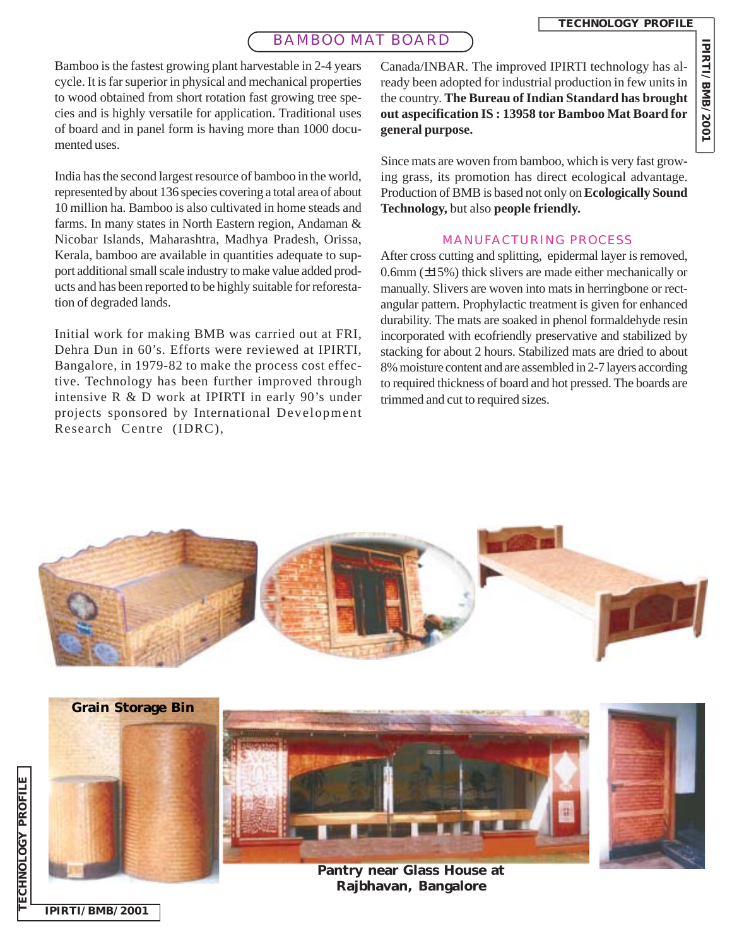**IPIRTI/BMB/2001**

IPIRTI/BMB/2001

## BAMBOO MAT BOARD

Canada/INBAR. The improved IPIRTI technology has already been adopted for industrial production in few units in the country. **The Bureau of Indian Standard has brought out aspecification IS : 13958 tor Bamboo Mat Board for general purpose.**

> Since mats are woven from bamboo, which is very fast growing grass, its promotion has direct ecological advantage. Production of BMB is based not only on **Ecologically Sound Technology,** but also **people friendly.**

### MANUFACTURING PROCESS

After cross cutting and splitting, epidermal layer is removed, 0.6mm  $(\pm 15\%)$  thick slivers are made either mechanically or manually. Slivers are woven into mats in herringbone or rectangular pattern. Prophylactic treatment is given for enhanced durability. The mats are soaked in phenol formaldehyde resin incorporated with ecofriendly preservative and stabilized by stacking for about 2 hours. Stabilized mats are dried to about 8% moisture content and are assembled in 2-7 layers according to required thickness of board and hot pressed. The boards are trimmed and cut to required sizes.



**IPIRTI/BMB/2001**

Bamboo is the fastest growing plant harvestable in 2-4 years cycle. It is far superior in physical and mechanical properties to wood obtained from short rotation fast growing tree species and is highly versatile for application. Traditional uses of board and in panel form is having more than 1000 documented uses.

India has the second largest resource of bamboo in the world, represented by about 136 species covering a total area of about 10 million ha. Bamboo is also cultivated in home steads and farms. In many states in North Eastern region, Andaman & Nicobar Islands, Maharashtra, Madhya Pradesh, Orissa, Kerala, bamboo are available in quantities adequate to support additional small scale industry to make value added products and has been reported to be highly suitable for reforestation of degraded lands.

Initial work for making BMB was carried out at FRI, Dehra Dun in 60's. Efforts were reviewed at IPIRTI, Bangalore, in 1979-82 to make the process cost effective. Technology has been further improved through intensive R & D work at IPIRTI in early 90's under projects sponsored by International Development Research Centre (IDRC),